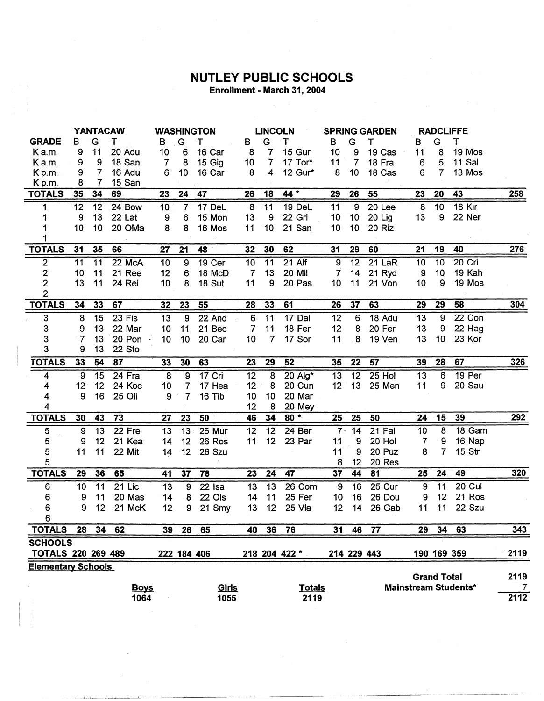## **NUTLEY PUBLIC SCHOOLS**

 $\mathcal{L}^{\text{max}}_{\text{max}}$  and  $\mathcal{L}^{\text{max}}_{\text{max}}$ 

| Enrollment - March 31, 2004 |  |
|-----------------------------|--|
|-----------------------------|--|

 $\sim$  1

|                           |                |                 | <b>YANTACAW</b>     |                |                 | <b>WASHINGTON</b> |                 | <b>LINCOLN</b>          |               | <b>SPRING GARDEN</b> |                 |               |                 | <b>RADCLIFFE</b>   |                             |                   |
|---------------------------|----------------|-----------------|---------------------|----------------|-----------------|-------------------|-----------------|-------------------------|---------------|----------------------|-----------------|---------------|-----------------|--------------------|-----------------------------|-------------------|
| <b>GRADE</b>              | в              | G               | т                   | в              | G               | т                 | B               | G                       | Т             | в                    | G               | т             | в               | G                  | Τ                           |                   |
| K a.m.                    | 9              | 11              | 20 Adu              | 10             | 6               | 16 Car            | 8               | 7                       | 15 Gur        | 10                   | 9               | 19 Cas        | 11              | 8                  | 19 Mos                      |                   |
| Ka.m.                     | 9              | $9^{\degree}$   | 18 San              | $\overline{7}$ | 8               | 15 Gig            | 10 <sub>1</sub> | $\overline{7}$          | 17 Tor*       | 11                   | $\overline{7}$  | 18 Fra        | 6               | 5                  | 11 Sal                      |                   |
| K p.m.                    | 9              | $\overline{7}$  | 16 Adu              | 6              | 10              | 16 Car            | 8               | $\overline{\mathbf{4}}$ | 12 Gur*       | 8                    | 10              | 18 Cas        | 6               | 7                  | 13 Mos                      |                   |
| Kp.m.                     | 8              | 7               | 15 San              |                |                 |                   |                 |                         |               |                      |                 |               |                 |                    |                             |                   |
| <b>TOTALS</b>             | 35             | 34              | 69                  | 23             | 24              | 47                | 26              | 18                      | 44 *          | 29                   | 26              | 55            | 23              | 20                 | 43                          | <b>258</b>        |
| 1                         | 12             | 12              | 24 Bow              | 10             | $\overline{7}$  | 17 DeL            | 8               | 11                      | 19 DeL        | 11                   | 9               | 20 Lee        | 8               | 10                 | 18 Kir                      |                   |
| 1                         | 9              | 13              | 22 Lat              | 9              | 6               | 15 Mon            | 13              | 9                       | 22 Gri        | 10                   | 10 <sub>1</sub> | <b>20 Lig</b> | 13              | $\boldsymbol{9}$   | 22 Ner                      |                   |
|                           | 10             | 10 <sub>1</sub> | 20 OMa              | 8              | 8               | 16 Mos            | 11              | 10                      | 21 San        | 10                   | 10 <sub>1</sub> | 20 Riz        |                 |                    |                             |                   |
|                           |                |                 |                     |                |                 |                   |                 |                         |               |                      |                 |               |                 |                    |                             |                   |
| <b>TOTALS</b>             | 31             | 35              | 66                  | 27             | 21              | 48                | 32              | 30                      | 62            | 31                   | 29              | 60            | 21              | 19                 | 40                          | 276               |
| $\overline{\mathbf{c}}$   | 11             | 11              | 22 McA              | 10             | $\overline{9}$  | 19 Cer            | 10              | $\overline{11}$         | 21 Alf        | $\boldsymbol{9}$     | $\overline{12}$ | 21 LaR        | 10              | $\overline{10}$    | 20 Cri                      |                   |
| $\overline{\mathbf{c}}$   | 10             | 11              | 21 Ree              | 12             | $6\phantom{1}6$ | 18 McD            | $\overline{7}$  | 13                      | 20 Mil        | $\overline{7}$       | 14              | 21 Ryd        | 9               | 10                 | 19 Kah                      |                   |
| $\overline{2}$            | 13             | 11              | 24 Rei              | 10             | 8               | 18 Sut            | 11              | 9                       | 20 Pas        | 10                   | 11              | 21 Von        | 10              | 9                  | 19 Mos                      |                   |
| $\overline{2}$            |                |                 |                     |                |                 |                   |                 |                         |               |                      |                 |               |                 |                    |                             |                   |
| <b>TOTALS</b>             | 34             | 33              | 67                  | 32             | 23              | 55                | 28              | 33                      | 61            | 26                   | 37              | 63            | 29              | 29                 | 58                          | 304               |
| $\overline{3}$            | 8              | 15              | 23 Fis              | 13             | 9               | 22 And            | 6               | 11                      | 17 Dal        | 12                   | 6               | 18 Adu        | 13              | 9                  | 22 Con                      |                   |
| 3                         | 9              | 13              | 22 Mar              | 10             | 11              | 21 Bec            | $\overline{7}$  | 11                      | 18 Fer        | 12                   | 8               | 20 Fer        | 13              | 9                  | 22 Hag                      |                   |
| 3                         | $\overline{7}$ | 13              | 20 Pon              | 10             | 10              | 20 Car            | 10              | $\overline{7}$          | 17 Sor        | 11                   | 8               | 19 Ven        | 13              | 10                 | 23 Kor                      |                   |
| 3                         | 9              | 13              | 22 Sto              |                |                 |                   |                 |                         |               |                      |                 |               |                 |                    |                             |                   |
| <b>TOTALS</b>             | 33             | 54              | 87                  | 33             | 30              | 63                | 23              | 29                      | 52            | 35                   | 22              | 57            | 39              | 28                 | 67                          | 326               |
| 4                         | 9              | 15              | $\overline{24}$ Fra | $\overline{8}$ | 9               | 17 Cri            | 12              | $\boldsymbol{8}$        | 20 Alg*       | 13                   | 12              | $25$ Hol      | 13              | 6                  | 19 Per                      |                   |
| 4                         | 12             | 12              | 24 Koc              | 10             | 7               | 17 Hea            | 12              | 8                       | 20 Cun        | 12                   | 13              | 25 Men        | 11              | 9                  | 20 Sau                      |                   |
| 4                         | 9              | 16              | 25 Oli              | 9              | $\overline{7}$  | 16 Tib            | 10              | 10                      | 20 Mar        |                      |                 |               |                 |                    |                             |                   |
| 4                         |                |                 |                     |                |                 |                   | 12              | 8                       | 20 Mey        |                      |                 |               |                 |                    |                             |                   |
| <b>TOTALS</b>             | 30             | 43              | 73                  | 27             | 23              | 50                | 46              | 34                      | $80*$         | 25                   | 25              | 50            | 24              | 15                 | 39                          | 292               |
| 5                         | 9              | $\overline{13}$ | 22 Fre              | 13             | $\overline{13}$ | 26 Mur            | $\overline{12}$ | $\overline{12}$         | 24 Ber        | $\overline{7}$       | $\overline{14}$ | $21$ Fal      | $\overline{10}$ | $\boldsymbol{8}$   | 18 Gam                      |                   |
| 5                         | 9              | 12              | 21 Kea              | 14             | 12              | 26 Ros            | 11              | 12                      | 23 Par        | 11                   | 9               | 20 Hol        | 7               | 9                  | 16 Nap                      |                   |
| 5                         | 11             | 11              | 22 Mit              | 14             | 12              | 26 Szu            |                 |                         |               | 11                   | 9               | 20 Puz        | 8               | $\overline{7}$     | <b>15 Str</b>               |                   |
| 5                         |                |                 |                     |                |                 |                   |                 |                         |               | 8                    | 12              | 20 Res        |                 |                    |                             |                   |
| <b>TOTALS</b>             | 29             | 36              | 65                  | 41             | 37              | 78                | 23              | 24                      | 47            | 37                   | 44              | 81            | 25              | 24                 | 49                          | 320               |
| 6                         | 10             | 11              | $21$ Lic            | 13             | 9               | 22 Isa            | 13              | 13                      | 26 Com        | 9                    | 16              | 25 Cur        | 9               | 11                 | 20 Cul                      |                   |
| 6                         | 9              | 11              | 20 Mas              | 14             | 8               | 22 Ols            | 14              | 11                      | 25 Fer        | 10                   | 16              | 26 Dou        | 9               | 12                 | 21 Ros                      |                   |
| 6                         | 9              | 12              | 21 McK              | 12             | 9               | 21 Smy            | 13              | 12                      | 25 Vla        | 12                   | 14              | 26 Gab        | 11              | 11                 | 22 Szu                      |                   |
| 6                         |                |                 |                     |                |                 |                   |                 |                         |               |                      |                 |               |                 |                    |                             |                   |
| <b>TOTALS</b>             | 28             | 34              | 62                  | 39             | 26              | 65                | 40              | 36                      | 76            | 31                   | 46              | 77            | 29              | 34                 | 63                          | 343               |
| <b>SCHOOLS</b>            |                |                 |                     |                |                 |                   |                 |                         |               |                      |                 |               |                 |                    |                             |                   |
| TOTALS 220 269 489        |                |                 |                     |                |                 | 222 184 406       |                 |                         | 218 204 422 * |                      |                 | 214 229 443   |                 |                    | 190 169 359                 | 2119              |
| <b>Elementary Schools</b> |                |                 |                     |                |                 |                   |                 |                         |               |                      |                 |               |                 |                    |                             |                   |
|                           |                |                 |                     |                |                 |                   |                 |                         |               |                      |                 |               |                 | <b>Grand Total</b> |                             | 2119              |
|                           |                |                 | <b>Boys</b>         |                |                 | <u>Girls</u>      |                 |                         | <b>Totals</b> |                      |                 |               |                 |                    | <b>Mainstream Students*</b> | $\overline{7}$    |
|                           |                |                 | 106 <sub>A</sub>    |                |                 | 1055              |                 |                         | 2410          |                      |                 |               |                 |                    |                             | $\overline{2112}$ |